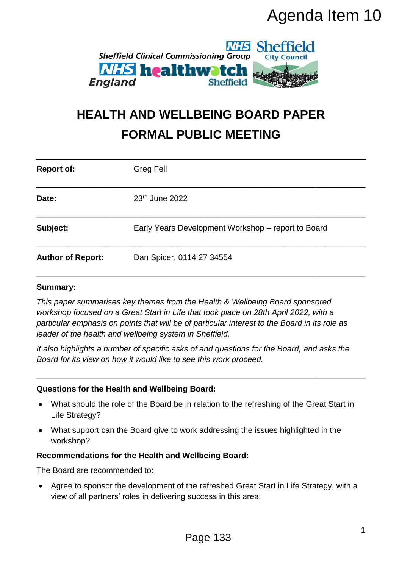

# **HEALTH AND WELLBEING BOARD PAPER FORMAL PUBLIC MEETING**

|                                                                                                                                                       | Agenda Item 10                                                                                                                                                                                                                                                                                                                   |   |  |
|-------------------------------------------------------------------------------------------------------------------------------------------------------|----------------------------------------------------------------------------------------------------------------------------------------------------------------------------------------------------------------------------------------------------------------------------------------------------------------------------------|---|--|
| <b>NHS Sheffield</b><br><b>Sheffield Clinical Commissioning Group</b><br><b>City Council</b><br><b><i>NHS</i></b> healthwatch<br>England<br>Sheffield |                                                                                                                                                                                                                                                                                                                                  |   |  |
| <b>HEALTH AND WELLBEING BOARD PAPER</b><br><b>FORMAL PUBLIC MEETING</b>                                                                               |                                                                                                                                                                                                                                                                                                                                  |   |  |
| <b>Report of:</b>                                                                                                                                     | <b>Greg Fell</b>                                                                                                                                                                                                                                                                                                                 |   |  |
| Date:                                                                                                                                                 | 23rd June 2022                                                                                                                                                                                                                                                                                                                   |   |  |
| Subject:                                                                                                                                              | Early Years Development Workshop – report to Board                                                                                                                                                                                                                                                                               |   |  |
| <b>Author of Report:</b>                                                                                                                              | Dan Spicer, 0114 27 34554                                                                                                                                                                                                                                                                                                        |   |  |
| <b>Summary:</b>                                                                                                                                       | This paper summarises key themes from the Health & Wellbeing Board sponsored<br>workshop focused on a Great Start in Life that took place on 28th April 2022, with a<br>particular emphasis on points that will be of particular interest to the Board in its role as<br>leader of the health and wellbeing system in Sheffield. |   |  |
|                                                                                                                                                       | It also highlights a number of specific asks of and questions for the Board, and asks the<br>Board for its view on how it would like to see this work proceed.                                                                                                                                                                   |   |  |
|                                                                                                                                                       | Questions for the Health and Wellbeing Board:                                                                                                                                                                                                                                                                                    |   |  |
| What should the role of the Board be in relation to the refreshing of the Great Start in<br>Life Strategy?                                            |                                                                                                                                                                                                                                                                                                                                  |   |  |
| ٠<br>workshop?                                                                                                                                        | What support can the Board give to work addressing the issues highlighted in the                                                                                                                                                                                                                                                 |   |  |
|                                                                                                                                                       | <b>Recommendations for the Health and Wellbeing Board:</b>                                                                                                                                                                                                                                                                       |   |  |
| The Board are recommended to:                                                                                                                         |                                                                                                                                                                                                                                                                                                                                  |   |  |
| $\bullet$                                                                                                                                             | Agree to sponsor the development of the refreshed Great Start in Life Strategy, with a<br>view of all partners' roles in delivering success in this area;                                                                                                                                                                        |   |  |
|                                                                                                                                                       | Page 133                                                                                                                                                                                                                                                                                                                         | 1 |  |

#### **Summary:**

#### **Questions for the Health and Wellbeing Board:**

- What should the role of the Board be in relation to the refreshing of the Great Start in Life Strategy?
- What support can the Board give to work addressing the issues highlighted in the workshop?

#### **Recommendations for the Health and Wellbeing Board:**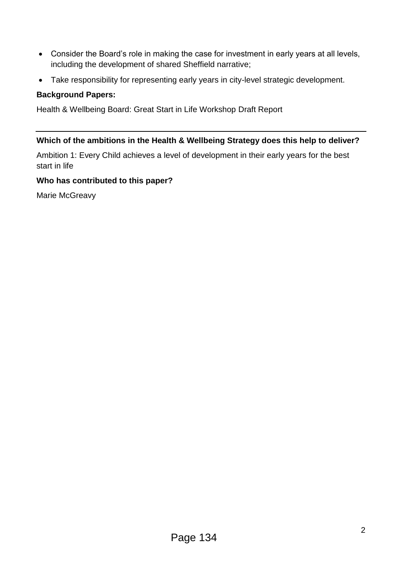- Consider the Board's role in making the case for investment in early years at all levels, including the development of shared Sheffield narrative;
- Take responsibility for representing early years in city-level strategic development.

#### **Background Papers:**

Health & Wellbeing Board: Great Start in Life Workshop Draft Report

#### **Which of the ambitions in the Health & Wellbeing Strategy does this help to deliver?**

Ambition 1: Every Child achieves a level of development in their early years for the best start in life

#### **Who has contributed to this paper?**

Marie McGreavy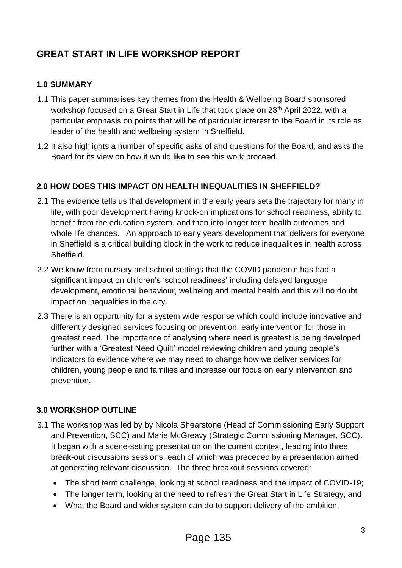## **GREAT START IN LIFE WORKSHOP REPORT**

#### **1.0 SUMMARY**

- 1.1 This paper summarises key themes from the Health & Wellbeing Board sponsored workshop focused on a Great Start in Life that took place on 28<sup>th</sup> April 2022, with a particular emphasis on points that will be of particular interest to the Board in its role as leader of the health and wellbeing system in Sheffield.
- 1.2 It also highlights a number of specific asks of and questions for the Board, and asks the Board for its view on how it would like to see this work proceed.

#### **2.0 HOW DOES THIS IMPACT ON HEALTH INEQUALITIES IN SHEFFIELD?**

- 2.1 The evidence tells us that development in the early years sets the trajectory for many in life, with poor development having knock-on implications for school readiness, ability to benefit from the education system, and then into longer term health outcomes and whole life chances. An approach to early years development that delivers for everyone in Sheffield is a critical building block in the work to reduce inequalities in health across Sheffield.
- 2.2 We know from nursery and school settings that the COVID pandemic has had a significant impact on children's 'school readiness' including delayed language development, emotional behaviour, wellbeing and mental health and this will no doubt impact on inequalities in the city.
- 2.3 There is an opportunity for a system wide response which could include innovative and differently designed services focusing on prevention, early intervention for those in greatest need. The importance of analysing where need is greatest is being developed further with a 'Greatest Need Quilt' model reviewing children and young people's indicators to evidence where we may need to change how we deliver services for children, young people and families and increase our focus on early intervention and prevention.

#### **3.0 WORKSHOP OUTLINE**

- 3.1 The workshop was led by by Nicola Shearstone (Head of Commissioning Early Support and Prevention, SCC) and Marie McGreavy (Strategic Commissioning Manager, SCC). It began with a scene-setting presentation on the current context, leading into three break-out discussions sessions, each of which was preceded by a presentation aimed at generating relevant discussion. The three breakout sessions covered:
	- The short term challenge, looking at school readiness and the impact of COVID-19;
	- The longer term, looking at the need to refresh the Great Start in Life Strategy, and
	- What the Board and wider system can do to support delivery of the ambition.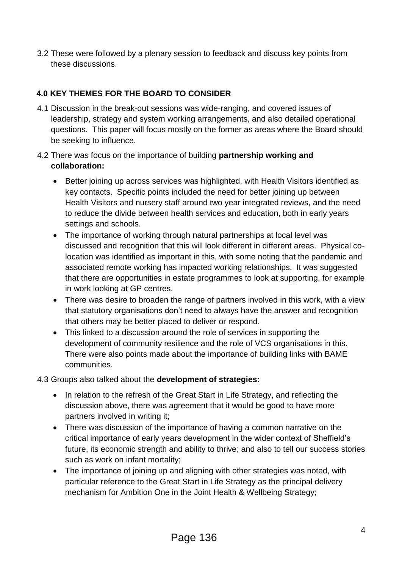3.2 These were followed by a plenary session to feedback and discuss key points from these discussions.

### **4.0 KEY THEMES FOR THE BOARD TO CONSIDER**

- 4.1 Discussion in the break-out sessions was wide-ranging, and covered issues of leadership, strategy and system working arrangements, and also detailed operational questions. This paper will focus mostly on the former as areas where the Board should be seeking to influence.
- 4.2 There was focus on the importance of building **partnership working and collaboration:**
	- Better joining up across services was highlighted, with Health Visitors identified as key contacts. Specific points included the need for better joining up between Health Visitors and nursery staff around two year integrated reviews, and the need to reduce the divide between health services and education, both in early years settings and schools.
	- The importance of working through natural partnerships at local level was discussed and recognition that this will look different in different areas. Physical colocation was identified as important in this, with some noting that the pandemic and associated remote working has impacted working relationships. It was suggested that there are opportunities in estate programmes to look at supporting, for example in work looking at GP centres.
	- There was desire to broaden the range of partners involved in this work, with a view that statutory organisations don't need to always have the answer and recognition that others may be better placed to deliver or respond.
	- This linked to a discussion around the role of services in supporting the development of community resilience and the role of VCS organisations in this. There were also points made about the importance of building links with BAME communities.

#### 4.3 Groups also talked about the **development of strategies:**

- In relation to the refresh of the Great Start in Life Strategy, and reflecting the discussion above, there was agreement that it would be good to have more partners involved in writing it;
- There was discussion of the importance of having a common narrative on the critical importance of early years development in the wider context of Sheffield's future, its economic strength and ability to thrive; and also to tell our success stories such as work on infant mortality;
- The importance of joining up and aligning with other strategies was noted, with particular reference to the Great Start in Life Strategy as the principal delivery mechanism for Ambition One in the Joint Health & Wellbeing Strategy;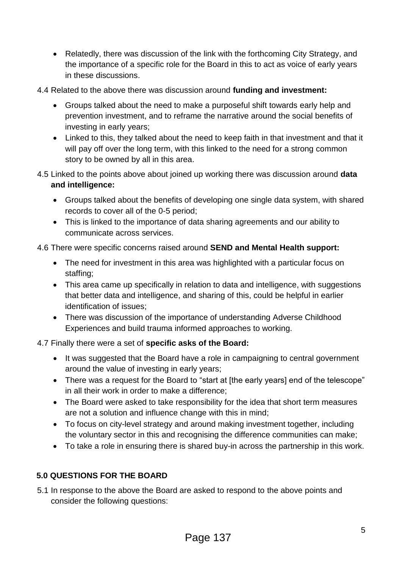- Relatedly, there was discussion of the link with the forthcoming City Strategy, and the importance of a specific role for the Board in this to act as voice of early years in these discussions.
- 4.4 Related to the above there was discussion around **funding and investment:**
	- Groups talked about the need to make a purposeful shift towards early help and prevention investment, and to reframe the narrative around the social benefits of investing in early years;
	- Linked to this, they talked about the need to keep faith in that investment and that it will pay off over the long term, with this linked to the need for a strong common story to be owned by all in this area.
- 4.5 Linked to the points above about joined up working there was discussion around **data and intelligence:**
	- Groups talked about the benefits of developing one single data system, with shared records to cover all of the 0-5 period;
	- This is linked to the importance of data sharing agreements and our ability to communicate across services.

#### 4.6 There were specific concerns raised around **SEND and Mental Health support:**

- The need for investment in this area was highlighted with a particular focus on staffing;
- This area came up specifically in relation to data and intelligence, with suggestions that better data and intelligence, and sharing of this, could be helpful in earlier identification of issues;
- There was discussion of the importance of understanding Adverse Childhood Experiences and build trauma informed approaches to working.

#### 4.7 Finally there were a set of **specific asks of the Board:**

- It was suggested that the Board have a role in campaigning to central government around the value of investing in early years;
- There was a request for the Board to "start at [the early years] end of the telescope" in all their work in order to make a difference;
- The Board were asked to take responsibility for the idea that short term measures are not a solution and influence change with this in mind;
- To focus on city-level strategy and around making investment together, including the voluntary sector in this and recognising the difference communities can make;
- To take a role in ensuring there is shared buy-in across the partnership in this work.

#### **5.0 QUESTIONS FOR THE BOARD**

5.1 In response to the above the Board are asked to respond to the above points and consider the following questions: